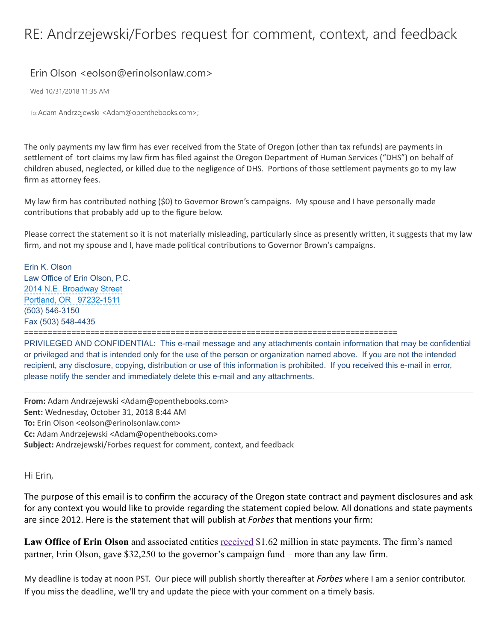## RE: Andrzejewski/Forbes request for comment, context, and feedback

## Erin Olson <eolson@erinolsonlaw.com>

Wed 10/31/2018 11:35 AM

To:Adam Andrzejewski <Adam@openthebooks.com>;

The only payments my law firm has ever received from the State of Oregon (other than tax refunds) are payments in settlement of tort claims my law firm has filed against the Oregon Department of Human Services ("DHS") on behalf of children abused, neglected, or killed due to the negligence of DHS. Portions of those settlement payments go to my law firm as attorney fees.

My law firm has contributed nothing (\$0) to Governor Brown's campaigns. My spouse and I have personally made contributions that probably add up to the figure below.

Please correct the statement so it is not materially misleading, particularly since as presently written, it suggests that my law firm, and not my spouse and I, have made political contributions to Governor Brown's campaigns.

Erin K. Olson Law Office of Erin Olson, P.C. 2014 N.E. Broadway Street Portland, OR 97232-1511 (503) 546-3150 Fax (503) 548-4435 ===============================================================================

PRIVILEGED AND CONFIDENTIAL: This e-mail message and any attachments contain information that may be confidential or privileged and that is intended only for the use of the person or organization named above. If you are not the intended recipient, any disclosure, copying, distribution or use of this information is prohibited. If you received this e-mail in error, please notify the sender and immediately delete this e-mail and any attachments.

**From:** Adam Andrzejewski <Adam@openthebooks.com> **Sent:** Wednesday, October 31, 2018 8:44 AM **To:** Erin Olson <eolson@erinolsonlaw.com> **Cc:** Adam Andrzejewski <Adam@openthebooks.com> **Subject:** Andrzejewski/Forbes request for comment, context, and feedback

Hi Erin,

The purpose of this email is to confirm the accuracy of the Oregon state contract and payment disclosures and ask for any context you would like to provide regarding the statement copied below. All donations and state payments are since 2012. Here is the statement that will publish at *Forbes* that mentions your firm:

Law Office of Erin Olson and associated entities [received](https://www.openthebooks.com/search/?PensionCode=4255&F_name=Law%20Office%20Of%20Erin%20Olson) \$1.62 million in state payments. The firm's named partner, Erin Olson, gave \$32,250 to the governor's campaign fund – more than any law firm.

My deadline is today at noon PST. Our piece will publish shortly thereafter at *Forbes* where I am a senior contributor. If you miss the deadline, we'll try and update the piece with your comment on a timely basis.